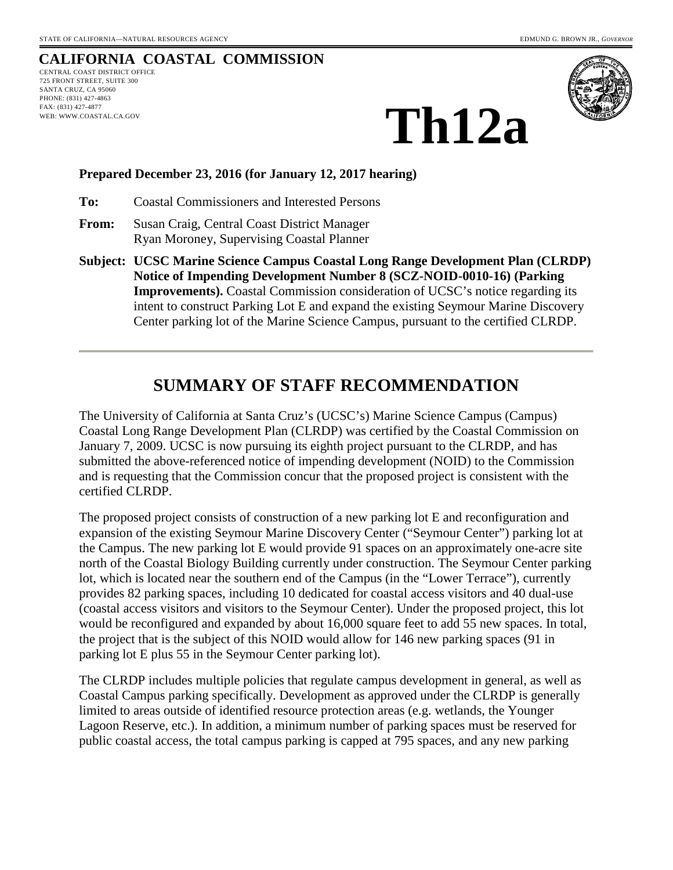## **CALIFORNIA COASTAL COMMISSION**

CENTRAL COAST DISTRICT OFFICE 725 FRONT STREET, SUITE 300 SANTA CRUZ, CA 95060 PHONE: (831) 427-4863 FAX: (831) 427-4877 WEB: WWW.COASTAL.CA.GOV



**Th12a**

#### **Prepared December 23, 2016 (for January 12, 2017 hearing)**

**To:** Coastal Commissioners and Interested Persons

- **From:** Susan Craig, Central Coast District Manager Ryan Moroney, Supervising Coastal Planner
- **Subject: UCSC Marine Science Campus Coastal Long Range Development Plan (CLRDP) Notice of Impending Development Number 8 (SCZ-NOID-0010-16) (Parking Improvements).** Coastal Commission consideration of UCSC's notice regarding its intent to construct Parking Lot E and expand the existing Seymour Marine Discovery Center parking lot of the Marine Science Campus, pursuant to the certified CLRDP.

## **SUMMARY OF STAFF RECOMMENDATION**

The University of California at Santa Cruz's (UCSC's) Marine Science Campus (Campus) Coastal Long Range Development Plan (CLRDP) was certified by the Coastal Commission on January 7, 2009. UCSC is now pursuing its eighth project pursuant to the CLRDP, and has submitted the above-referenced notice of impending development (NOID) to the Commission and is requesting that the Commission concur that the proposed project is consistent with the certified CLRDP.

The proposed project consists of construction of a new parking lot E and reconfiguration and expansion of the existing Seymour Marine Discovery Center ("Seymour Center") parking lot at the Campus. The new parking lot E would provide 91 spaces on an approximately one-acre site north of the Coastal Biology Building currently under construction. The Seymour Center parking lot, which is located near the southern end of the Campus (in the "Lower Terrace"), currently provides 82 parking spaces, including 10 dedicated for coastal access visitors and 40 dual-use (coastal access visitors and visitors to the Seymour Center). Under the proposed project, this lot would be reconfigured and expanded by about 16,000 square feet to add 55 new spaces. In total, the project that is the subject of this NOID would allow for 146 new parking spaces (91 in parking lot E plus 55 in the Seymour Center parking lot).

The CLRDP includes multiple policies that regulate campus development in general, as well as Coastal Campus parking specifically. Development as approved under the CLRDP is generally limited to areas outside of identified resource protection areas (e.g. wetlands, the Younger Lagoon Reserve, etc.). In addition, a minimum number of parking spaces must be reserved for public coastal access, the total campus parking is capped at 795 spaces, and any new parking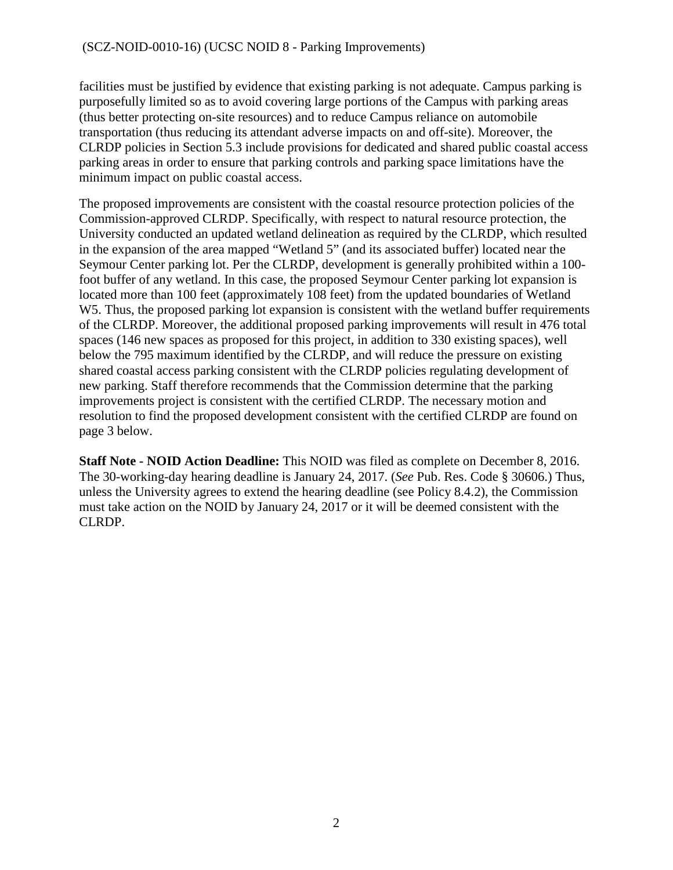facilities must be justified by evidence that existing parking is not adequate. Campus parking is purposefully limited so as to avoid covering large portions of the Campus with parking areas (thus better protecting on-site resources) and to reduce Campus reliance on automobile transportation (thus reducing its attendant adverse impacts on and off-site). Moreover, the CLRDP policies in Section 5.3 include provisions for dedicated and shared public coastal access parking areas in order to ensure that parking controls and parking space limitations have the minimum impact on public coastal access.

The proposed improvements are consistent with the coastal resource protection policies of the Commission-approved CLRDP. Specifically, with respect to natural resource protection, the University conducted an updated wetland delineation as required by the CLRDP, which resulted in the expansion of the area mapped "Wetland 5" (and its associated buffer) located near the Seymour Center parking lot. Per the CLRDP, development is generally prohibited within a 100 foot buffer of any wetland. In this case, the proposed Seymour Center parking lot expansion is located more than 100 feet (approximately 108 feet) from the updated boundaries of Wetland W5. Thus, the proposed parking lot expansion is consistent with the wetland buffer requirements of the CLRDP. Moreover, the additional proposed parking improvements will result in 476 total spaces (146 new spaces as proposed for this project, in addition to 330 existing spaces), well below the 795 maximum identified by the CLRDP, and will reduce the pressure on existing shared coastal access parking consistent with the CLRDP policies regulating development of new parking. Staff therefore recommends that the Commission determine that the parking improvements project is consistent with the certified CLRDP. The necessary motion and resolution to find the proposed development consistent with the certified CLRDP are found on page 3 below.

**Staff Note - NOID Action Deadline:** This NOID was filed as complete on December 8, 2016. The 30-working-day hearing deadline is January 24, 2017. (*See* Pub. Res. Code § 30606.) Thus, unless the University agrees to extend the hearing deadline (see Policy 8.4.2), the Commission must take action on the NOID by January 24, 2017 or it will be deemed consistent with the CLRDP.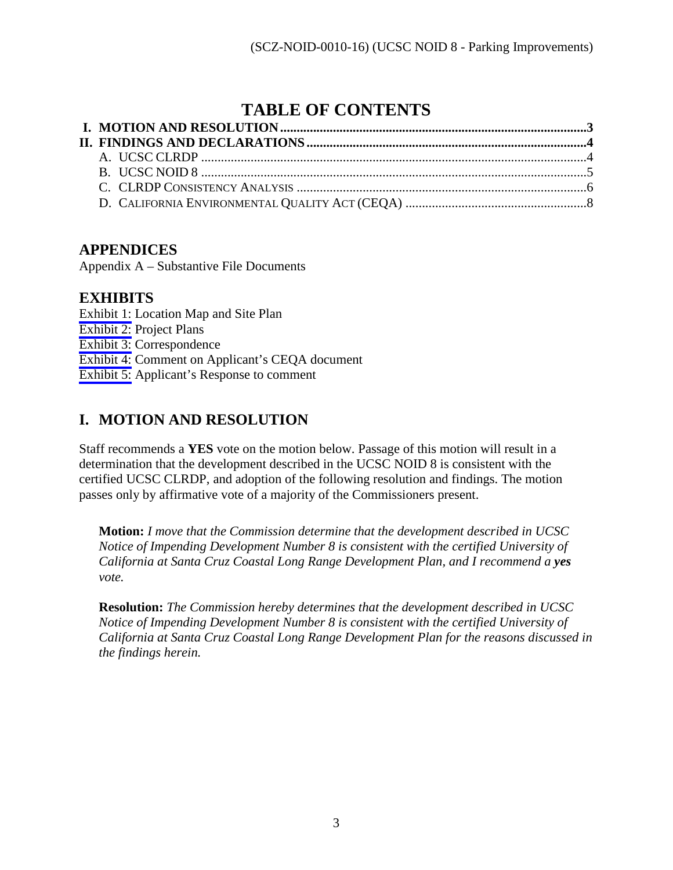# **TABLE OF CONTENTS**

## **APPENDICES**

Appendix A – Substantive File Documents

### **EXHIBITS**

[Exhibit 1:](#page-10-0) Location Map and Site Plan [Exhibit 2:](#page-12-0) Project Plans [Exhibit 3:](#page-14-0) Correspondence [Exhibit 4:](#page-15-0) Comment on Applicant's CEQA document [Exhibit 5:](#page-17-0) Applicant's Response to comment

# <span id="page-2-0"></span>**I. MOTION AND RESOLUTION**

Staff recommends a **YES** vote on the motion below. Passage of this motion will result in a determination that the development described in the UCSC NOID 8 is consistent with the certified UCSC CLRDP, and adoption of the following resolution and findings. The motion passes only by affirmative vote of a majority of the Commissioners present.

**Motion:** *I move that the Commission determine that the development described in UCSC Notice of Impending Development Number 8 is consistent with the certified University of California at Santa Cruz Coastal Long Range Development Plan, and I recommend a yes vote.* 

**Resolution:** *The Commission hereby determines that the development described in UCSC Notice of Impending Development Number 8 is consistent with the certified University of California at Santa Cruz Coastal Long Range Development Plan for the reasons discussed in the findings herein.*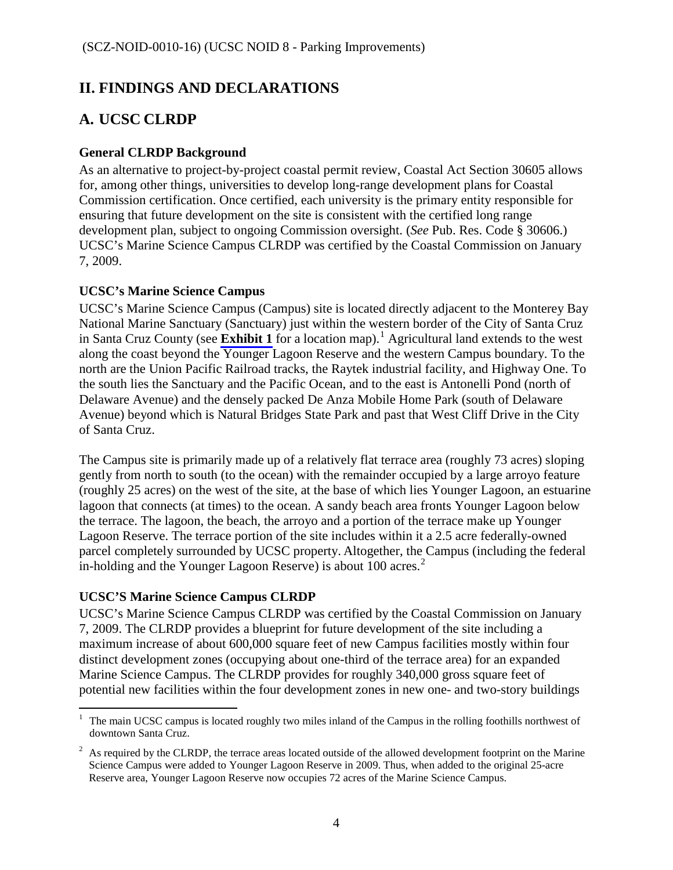## <span id="page-3-0"></span>**II. FINDINGS AND DECLARATIONS**

# <span id="page-3-1"></span>**A. UCSC CLRDP**

#### **General CLRDP Background**

As an alternative to project-by-project coastal permit review, Coastal Act Section 30605 allows for, among other things, universities to develop long-range development plans for Coastal Commission certification. Once certified, each university is the primary entity responsible for ensuring that future development on the site is consistent with the certified long range development plan, subject to ongoing Commission oversight. (*See* Pub. Res. Code § 30606.) UCSC's Marine Science Campus CLRDP was certified by the Coastal Commission on January 7, 2009.

#### **UCSC's Marine Science Campus**

UCSC's Marine Science Campus (Campus) site is located directly adjacent to the Monterey Bay National Marine Sanctuary (Sanctuary) just within the western border of the City of Santa Cruz in Santa Cruz County (see **[Exhibit 1](#page-10-0)** for a location map).<sup>[1](#page-3-2)</sup> Agricultural land extends to the west along the coast beyond the Younger Lagoon Reserve and the western Campus boundary. To the north are the Union Pacific Railroad tracks, the Raytek industrial facility, and Highway One. To the south lies the Sanctuary and the Pacific Ocean, and to the east is Antonelli Pond (north of Delaware Avenue) and the densely packed De Anza Mobile Home Park (south of Delaware Avenue) beyond which is Natural Bridges State Park and past that West Cliff Drive in the City of Santa Cruz.

The Campus site is primarily made up of a relatively flat terrace area (roughly 73 acres) sloping gently from north to south (to the ocean) with the remainder occupied by a large arroyo feature (roughly 25 acres) on the west of the site, at the base of which lies Younger Lagoon, an estuarine lagoon that connects (at times) to the ocean. A sandy beach area fronts Younger Lagoon below the terrace. The lagoon, the beach, the arroyo and a portion of the terrace make up Younger Lagoon Reserve. The terrace portion of the site includes within it a 2.5 acre federally-owned parcel completely surrounded by UCSC property. Altogether, the Campus (including the federal in-holding and the Younger Lagoon Reserve) is about  $100$  acres.<sup>[2](#page-3-3)</sup>

### **UCSC'S Marine Science Campus CLRDP**

UCSC's Marine Science Campus CLRDP was certified by the Coastal Commission on January 7, 2009. The CLRDP provides a blueprint for future development of the site including a maximum increase of about 600,000 square feet of new Campus facilities mostly within four distinct development zones (occupying about one-third of the terrace area) for an expanded Marine Science Campus. The CLRDP provides for roughly 340,000 gross square feet of potential new facilities within the four development zones in new one- and two-story buildings

<span id="page-3-2"></span> $\overline{a}$ 1 The main UCSC campus is located roughly two miles inland of the Campus in the rolling foothills northwest of downtown Santa Cruz.

<span id="page-3-3"></span> $2<sup>2</sup>$  As required by the CLRDP, the terrace areas located outside of the allowed development footprint on the Marine Science Campus were added to Younger Lagoon Reserve in 2009. Thus, when added to the original 25-acre Reserve area, Younger Lagoon Reserve now occupies 72 acres of the Marine Science Campus.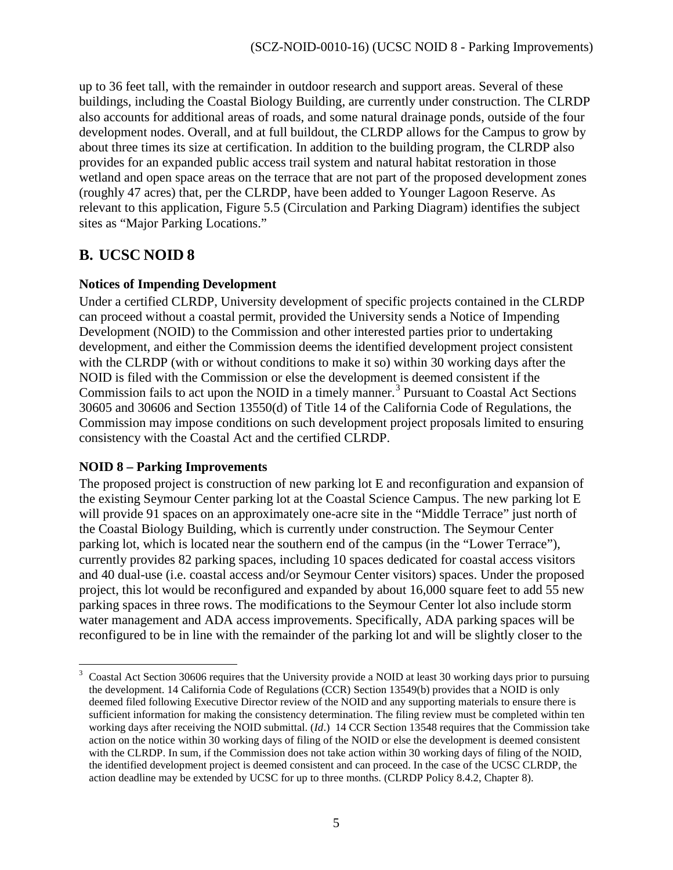up to 36 feet tall, with the remainder in outdoor research and support areas. Several of these buildings, including the Coastal Biology Building, are currently under construction. The CLRDP also accounts for additional areas of roads, and some natural drainage ponds, outside of the four development nodes. Overall, and at full buildout, the CLRDP allows for the Campus to grow by about three times its size at certification. In addition to the building program, the CLRDP also provides for an expanded public access trail system and natural habitat restoration in those wetland and open space areas on the terrace that are not part of the proposed development zones (roughly 47 acres) that, per the CLRDP, have been added to Younger Lagoon Reserve. As relevant to this application, Figure 5.5 (Circulation and Parking Diagram) identifies the subject sites as "Major Parking Locations."

## <span id="page-4-0"></span>**B. UCSC NOID 8**

### **Notices of Impending Development**

Under a certified CLRDP, University development of specific projects contained in the CLRDP can proceed without a coastal permit, provided the University sends a Notice of Impending Development (NOID) to the Commission and other interested parties prior to undertaking development, and either the Commission deems the identified development project consistent with the CLRDP (with or without conditions to make it so) within 30 working days after the NOID is filed with the Commission or else the development is deemed consistent if the Commission fails to act upon the NOID in a timely manner.<sup>[3](#page-4-1)</sup> Pursuant to Coastal Act Sections 30605 and 30606 and Section 13550(d) of Title 14 of the California Code of Regulations, the Commission may impose conditions on such development project proposals limited to ensuring consistency with the Coastal Act and the certified CLRDP.

### **NOID 8 – Parking Improvements**

The proposed project is construction of new parking lot E and reconfiguration and expansion of the existing Seymour Center parking lot at the Coastal Science Campus. The new parking lot E will provide 91 spaces on an approximately one-acre site in the "Middle Terrace" just north of the Coastal Biology Building, which is currently under construction. The Seymour Center parking lot, which is located near the southern end of the campus (in the "Lower Terrace"), currently provides 82 parking spaces, including 10 spaces dedicated for coastal access visitors and 40 dual-use (i.e. coastal access and/or Seymour Center visitors) spaces. Under the proposed project, this lot would be reconfigured and expanded by about 16,000 square feet to add 55 new parking spaces in three rows. The modifications to the Seymour Center lot also include storm water management and ADA access improvements. Specifically, ADA parking spaces will be reconfigured to be in line with the remainder of the parking lot and will be slightly closer to the

<span id="page-4-1"></span> $\overline{a}$ 3 Coastal Act Section 30606 requires that the University provide a NOID at least 30 working days prior to pursuing the development. 14 California Code of Regulations (CCR) Section 13549(b) provides that a NOID is only deemed filed following Executive Director review of the NOID and any supporting materials to ensure there is sufficient information for making the consistency determination. The filing review must be completed within ten working days after receiving the NOID submittal. (*Id*.) 14 CCR Section 13548 requires that the Commission take action on the notice within 30 working days of filing of the NOID or else the development is deemed consistent with the CLRDP. In sum, if the Commission does not take action within 30 working days of filing of the NOID, the identified development project is deemed consistent and can proceed. In the case of the UCSC CLRDP, the action deadline may be extended by UCSC for up to three months. (CLRDP Policy 8.4.2, Chapter 8).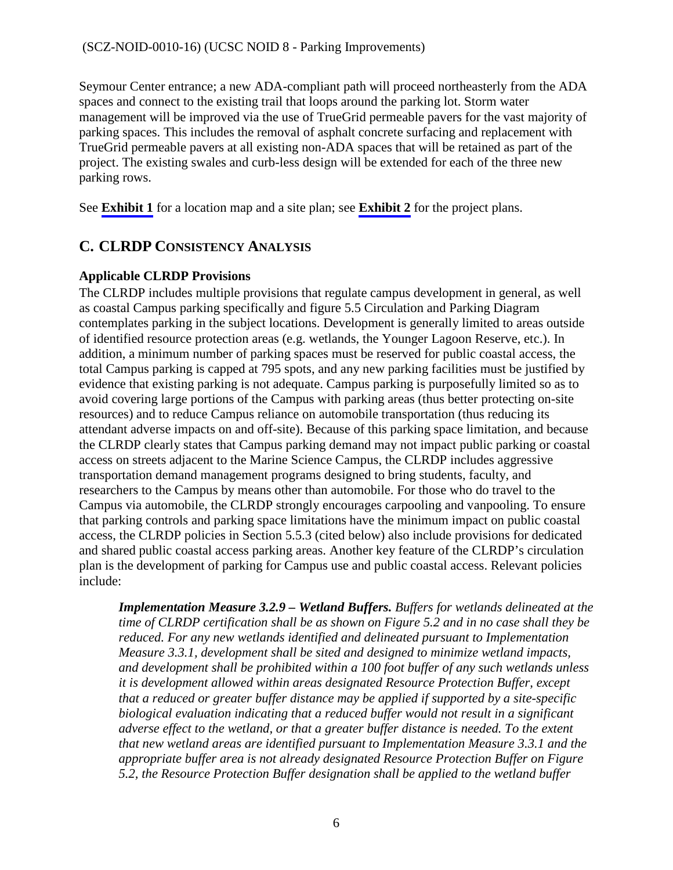Seymour Center entrance; a new ADA-compliant path will proceed northeasterly from the ADA spaces and connect to the existing trail that loops around the parking lot. Storm water management will be improved via the use of TrueGrid permeable pavers for the vast majority of parking spaces. This includes the removal of asphalt concrete surfacing and replacement with TrueGrid permeable pavers at all existing non-ADA spaces that will be retained as part of the project. The existing swales and curb-less design will be extended for each of the three new parking rows.

See **[Exhibit 1](#page-10-0)** for a location map and a site plan; see **[Exhibit 2](#page-12-0)** for the project plans.

## <span id="page-5-0"></span>**C. CLRDP CONSISTENCY ANALYSIS**

#### **Applicable CLRDP Provisions**

The CLRDP includes multiple provisions that regulate campus development in general, as well as coastal Campus parking specifically and figure 5.5 Circulation and Parking Diagram contemplates parking in the subject locations. Development is generally limited to areas outside of identified resource protection areas (e.g. wetlands, the Younger Lagoon Reserve, etc.). In addition, a minimum number of parking spaces must be reserved for public coastal access, the total Campus parking is capped at 795 spots, and any new parking facilities must be justified by evidence that existing parking is not adequate. Campus parking is purposefully limited so as to avoid covering large portions of the Campus with parking areas (thus better protecting on-site resources) and to reduce Campus reliance on automobile transportation (thus reducing its attendant adverse impacts on and off-site). Because of this parking space limitation, and because the CLRDP clearly states that Campus parking demand may not impact public parking or coastal access on streets adjacent to the Marine Science Campus, the CLRDP includes aggressive transportation demand management programs designed to bring students, faculty, and researchers to the Campus by means other than automobile. For those who do travel to the Campus via automobile, the CLRDP strongly encourages carpooling and vanpooling. To ensure that parking controls and parking space limitations have the minimum impact on public coastal access, the CLRDP policies in Section 5.5.3 (cited below) also include provisions for dedicated and shared public coastal access parking areas. Another key feature of the CLRDP's circulation plan is the development of parking for Campus use and public coastal access. Relevant policies include:

*Implementation Measure 3.2.9 – Wetland Buffers. Buffers for wetlands delineated at the time of CLRDP certification shall be as shown on Figure 5.2 and in no case shall they be reduced. For any new wetlands identified and delineated pursuant to Implementation Measure 3.3.1, development shall be sited and designed to minimize wetland impacts, and development shall be prohibited within a 100 foot buffer of any such wetlands unless it is development allowed within areas designated Resource Protection Buffer, except that a reduced or greater buffer distance may be applied if supported by a site-specific biological evaluation indicating that a reduced buffer would not result in a significant adverse effect to the wetland, or that a greater buffer distance is needed. To the extent that new wetland areas are identified pursuant to Implementation Measure 3.3.1 and the appropriate buffer area is not already designated Resource Protection Buffer on Figure 5.2, the Resource Protection Buffer designation shall be applied to the wetland buffer*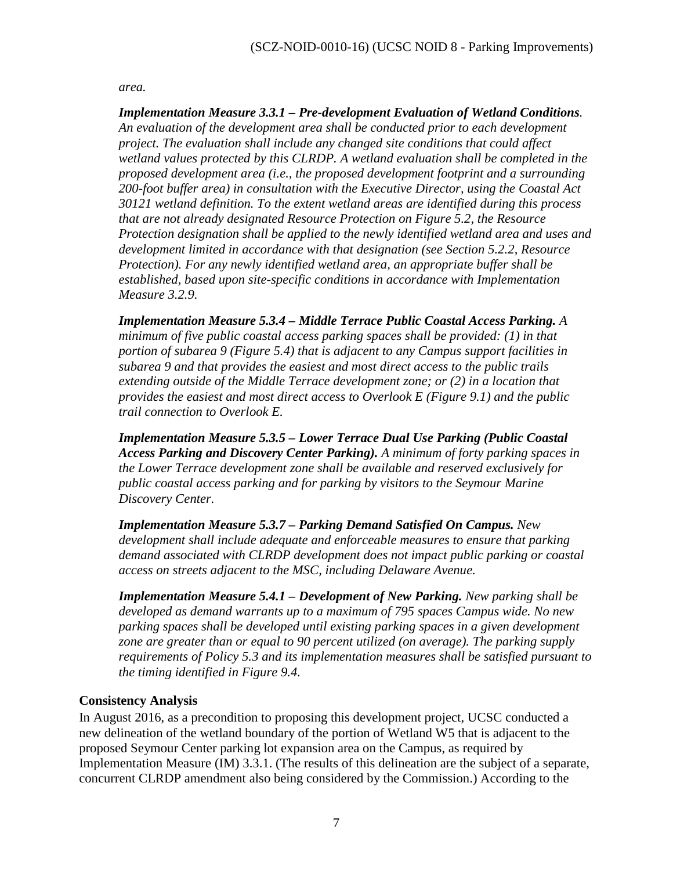*area.* 

*Implementation Measure 3.3.1 – Pre-development Evaluation of Wetland Conditions. An evaluation of the development area shall be conducted prior to each development project. The evaluation shall include any changed site conditions that could affect wetland values protected by this CLRDP. A wetland evaluation shall be completed in the proposed development area (i.e., the proposed development footprint and a surrounding 200-foot buffer area) in consultation with the Executive Director, using the Coastal Act 30121 wetland definition. To the extent wetland areas are identified during this process that are not already designated Resource Protection on Figure 5.2, the Resource Protection designation shall be applied to the newly identified wetland area and uses and development limited in accordance with that designation (see Section 5.2.2, Resource Protection). For any newly identified wetland area, an appropriate buffer shall be established, based upon site-specific conditions in accordance with Implementation Measure 3.2.9.* 

*Implementation Measure 5.3.4 – Middle Terrace Public Coastal Access Parking. A minimum of five public coastal access parking spaces shall be provided: (1) in that portion of subarea 9 (Figure 5.4) that is adjacent to any Campus support facilities in subarea 9 and that provides the easiest and most direct access to the public trails extending outside of the Middle Terrace development zone; or (2) in a location that provides the easiest and most direct access to Overlook E (Figure 9.1) and the public trail connection to Overlook E.* 

*Implementation Measure 5.3.5 – Lower Terrace Dual Use Parking (Public Coastal Access Parking and Discovery Center Parking). A minimum of forty parking spaces in the Lower Terrace development zone shall be available and reserved exclusively for public coastal access parking and for parking by visitors to the Seymour Marine Discovery Center.*

*Implementation Measure 5.3.7 – Parking Demand Satisfied On Campus. New development shall include adequate and enforceable measures to ensure that parking demand associated with CLRDP development does not impact public parking or coastal access on streets adjacent to the MSC, including Delaware Avenue.* 

*Implementation Measure 5.4.1 – Development of New Parking. New parking shall be developed as demand warrants up to a maximum of 795 spaces Campus wide. No new parking spaces shall be developed until existing parking spaces in a given development zone are greater than or equal to 90 percent utilized (on average). The parking supply requirements of Policy 5.3 and its implementation measures shall be satisfied pursuant to the timing identified in Figure 9.4.*

#### **Consistency Analysis**

In August 2016, as a precondition to proposing this development project, UCSC conducted a new delineation of the wetland boundary of the portion of Wetland W5 that is adjacent to the proposed Seymour Center parking lot expansion area on the Campus, as required by Implementation Measure (IM) 3.3.1. (The results of this delineation are the subject of a separate, concurrent CLRDP amendment also being considered by the Commission.) According to the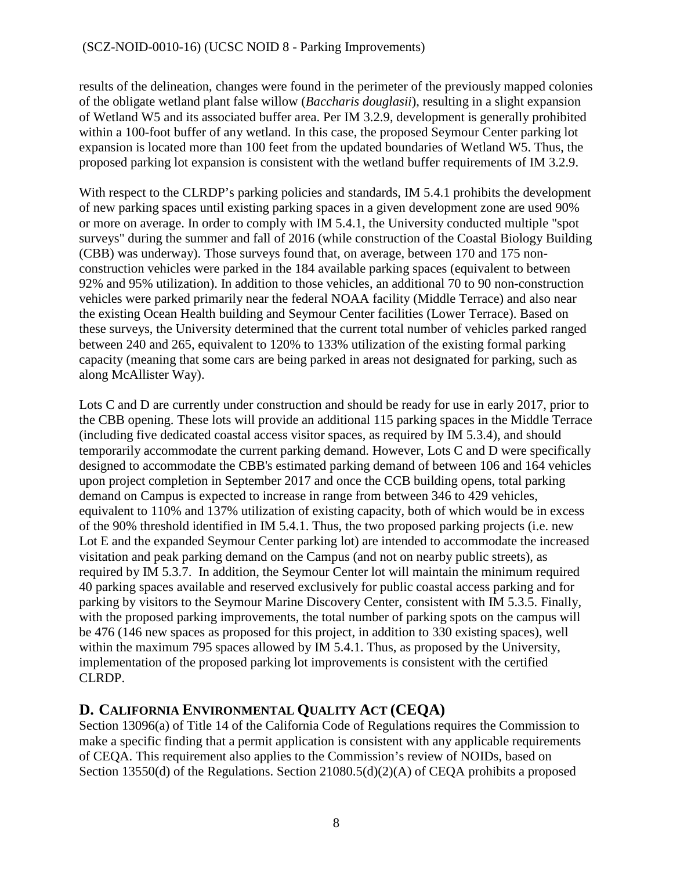results of the delineation, changes were found in the perimeter of the previously mapped colonies of the obligate wetland plant false willow (*Baccharis douglasii*), resulting in a slight expansion of Wetland W5 and its associated buffer area. Per IM 3.2.9, development is generally prohibited within a 100-foot buffer of any wetland. In this case, the proposed Seymour Center parking lot expansion is located more than 100 feet from the updated boundaries of Wetland W5. Thus, the proposed parking lot expansion is consistent with the wetland buffer requirements of IM 3.2.9.

With respect to the CLRDP's parking policies and standards, IM 5.4.1 prohibits the development of new parking spaces until existing parking spaces in a given development zone are used 90% or more on average. In order to comply with IM 5.4.1, the University conducted multiple "spot surveys" during the summer and fall of 2016 (while construction of the Coastal Biology Building (CBB) was underway). Those surveys found that, on average, between 170 and 175 nonconstruction vehicles were parked in the 184 available parking spaces (equivalent to between 92% and 95% utilization). In addition to those vehicles, an additional 70 to 90 non-construction vehicles were parked primarily near the federal NOAA facility (Middle Terrace) and also near the existing Ocean Health building and Seymour Center facilities (Lower Terrace). Based on these surveys, the University determined that the current total number of vehicles parked ranged between 240 and 265, equivalent to 120% to 133% utilization of the existing formal parking capacity (meaning that some cars are being parked in areas not designated for parking, such as along McAllister Way).

Lots C and D are currently under construction and should be ready for use in early 2017, prior to the CBB opening. These lots will provide an additional 115 parking spaces in the Middle Terrace (including five dedicated coastal access visitor spaces, as required by IM 5.3.4), and should temporarily accommodate the current parking demand. However, Lots C and D were specifically designed to accommodate the CBB's estimated parking demand of between 106 and 164 vehicles upon project completion in September 2017 and once the CCB building opens, total parking demand on Campus is expected to increase in range from between 346 to 429 vehicles, equivalent to 110% and 137% utilization of existing capacity, both of which would be in excess of the 90% threshold identified in IM 5.4.1. Thus, the two proposed parking projects (i.e. new Lot E and the expanded Seymour Center parking lot) are intended to accommodate the increased visitation and peak parking demand on the Campus (and not on nearby public streets), as required by IM 5.3.7. In addition, the Seymour Center lot will maintain the minimum required 40 parking spaces available and reserved exclusively for public coastal access parking and for parking by visitors to the Seymour Marine Discovery Center, consistent with IM 5.3.5. Finally, with the proposed parking improvements, the total number of parking spots on the campus will be 476 (146 new spaces as proposed for this project, in addition to 330 existing spaces), well within the maximum 795 spaces allowed by IM 5.4.1. Thus, as proposed by the University, implementation of the proposed parking lot improvements is consistent with the certified CLRDP.

## <span id="page-7-0"></span>**D. CALIFORNIA ENVIRONMENTAL QUALITY ACT (CEQA)**

Section 13096(a) of Title 14 of the California Code of Regulations requires the Commission to make a specific finding that a permit application is consistent with any applicable requirements of CEQA. This requirement also applies to the Commission's review of NOIDs, based on Section 13550(d) of the Regulations. Section 21080.5(d)(2)(A) of CEQA prohibits a proposed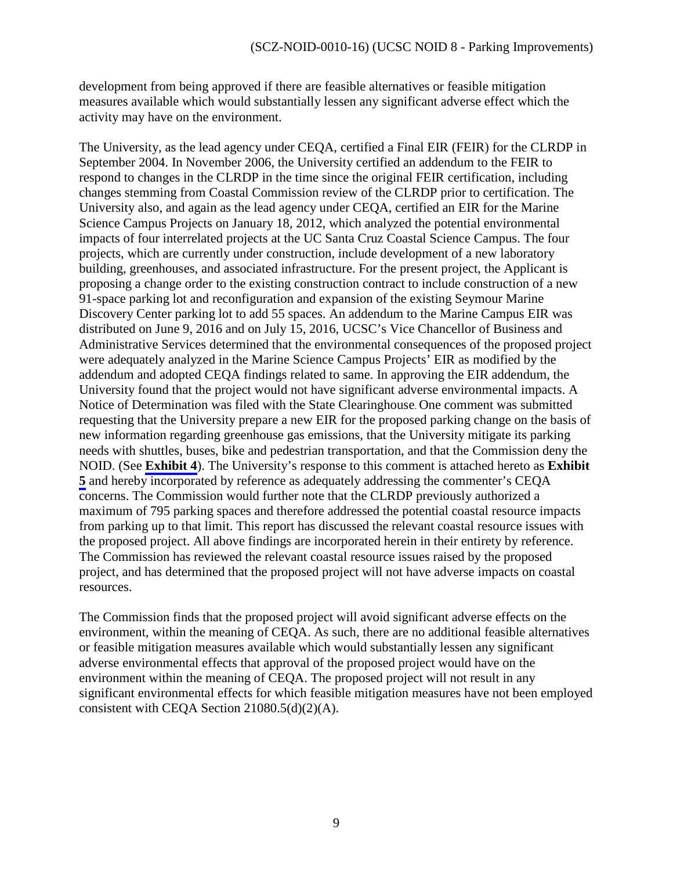development from being approved if there are feasible alternatives or feasible mitigation measures available which would substantially lessen any significant adverse effect which the activity may have on the environment.

The University, as the lead agency under CEQA, certified a Final EIR (FEIR) for the CLRDP in September 2004. In November 2006, the University certified an addendum to the FEIR to respond to changes in the CLRDP in the time since the original FEIR certification, including changes stemming from Coastal Commission review of the CLRDP prior to certification. The University also, and again as the lead agency under CEQA, certified an EIR for the Marine Science Campus Projects on January 18, 2012, which analyzed the potential environmental impacts of four interrelated projects at the UC Santa Cruz Coastal Science Campus. The four projects, which are currently under construction, include development of a new laboratory building, greenhouses, and associated infrastructure. For the present project, the Applicant is proposing a change order to the existing construction contract to include construction of a new 91-space parking lot and reconfiguration and expansion of the existing Seymour Marine Discovery Center parking lot to add 55 spaces. An addendum to the Marine Campus EIR was distributed on June 9, 2016 and on July 15, 2016, UCSC's Vice Chancellor of Business and Administrative Services determined that the environmental consequences of the proposed project were adequately analyzed in the Marine Science Campus Projects' EIR as modified by the addendum and adopted CEQA findings related to same. In approving the EIR addendum, the University found that the project would not have significant adverse environmental impacts. A Notice of Determination was filed with the State Clearinghouse. One comment was submitted requesting that the University prepare a new EIR for the proposed parking change on the basis of new information regarding greenhouse gas emissions, that the University mitigate its parking needs with shuttles, buses, bike and pedestrian transportation, and that the Commission deny the NOID. (See **[Exhibit 4](#page-15-0)**). The University's response to this comment is attached hereto as **Exhibit [5](#page-17-0)** and hereby incorporated by reference as adequately addressing the commenter's CEQA concerns. The Commission would further note that the CLRDP previously authorized a maximum of 795 parking spaces and therefore addressed the potential coastal resource impacts from parking up to that limit. This report has discussed the relevant coastal resource issues with the proposed project. All above findings are incorporated herein in their entirety by reference. The Commission has reviewed the relevant coastal resource issues raised by the proposed project, and has determined that the proposed project will not have adverse impacts on coastal resources.

The Commission finds that the proposed project will avoid significant adverse effects on the environment, within the meaning of CEQA. As such, there are no additional feasible alternatives or feasible mitigation measures available which would substantially lessen any significant adverse environmental effects that approval of the proposed project would have on the environment within the meaning of CEQA. The proposed project will not result in any significant environmental effects for which feasible mitigation measures have not been employed consistent with CEQA Section 21080.5(d)(2)(A).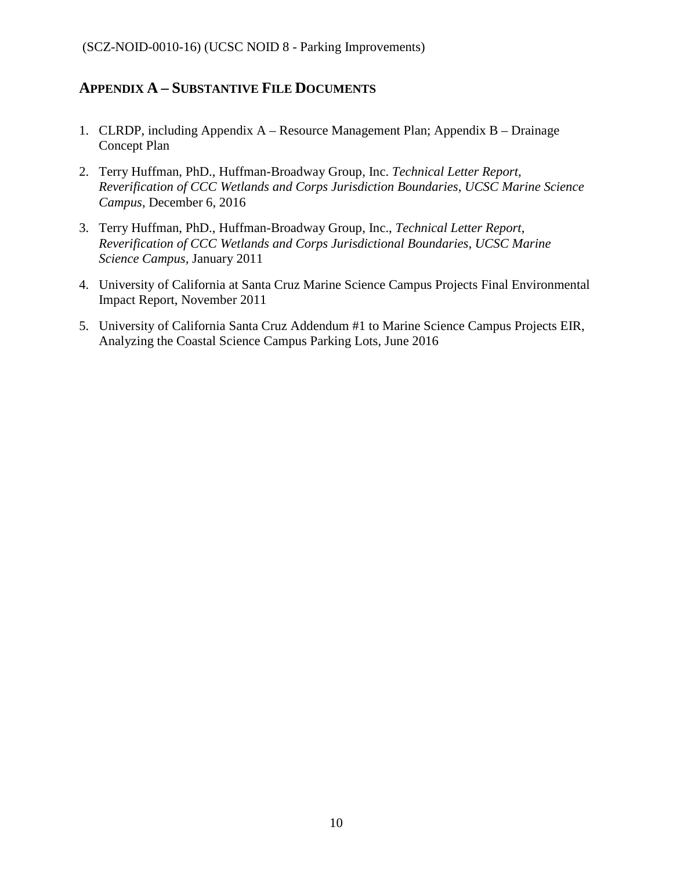### **APPENDIX A – SUBSTANTIVE FILE DOCUMENTS**

- 1. CLRDP, including Appendix A Resource Management Plan; Appendix B Drainage Concept Plan
- 2. Terry Huffman, PhD., Huffman-Broadway Group, Inc. *Technical Letter Report, Reverification of CCC Wetlands and Corps Jurisdiction Boundaries, UCSC Marine Science Campus*, December 6, 2016
- 3. Terry Huffman, PhD., Huffman-Broadway Group, Inc., *Technical Letter Report, Reverification of CCC Wetlands and Corps Jurisdictional Boundaries, UCSC Marine Science Campus,* January 2011
- 4. University of California at Santa Cruz Marine Science Campus Projects Final Environmental Impact Report, November 2011
- 5. University of California Santa Cruz Addendum #1 to Marine Science Campus Projects EIR, Analyzing the Coastal Science Campus Parking Lots, June 2016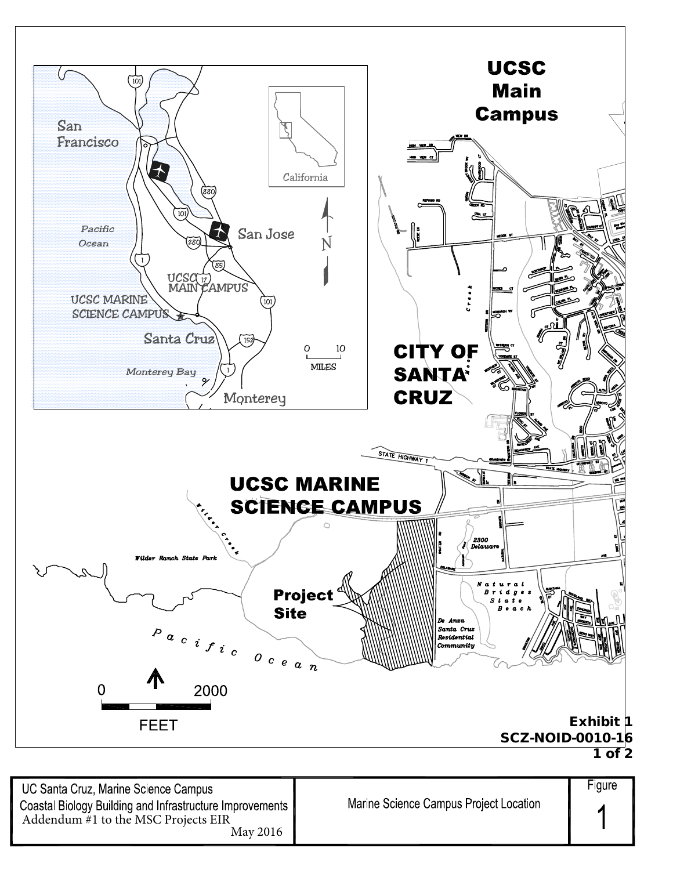<span id="page-10-0"></span>

UC Santa Cruz, Marine Science Campus Coastal Biology Building and Infrastructure Improvements Addendum #1 to the MSC Projects EIR May 2016

Figure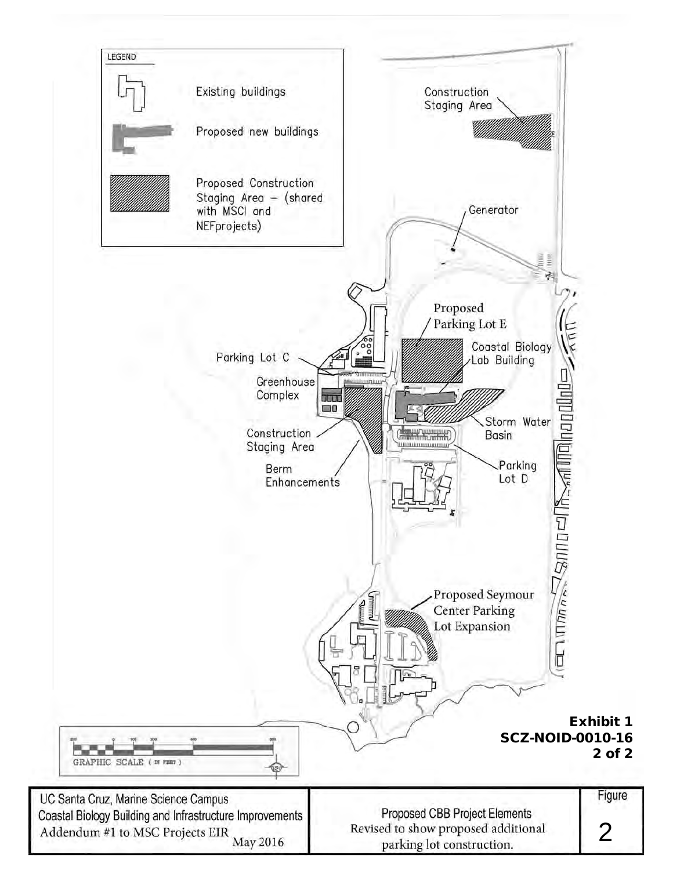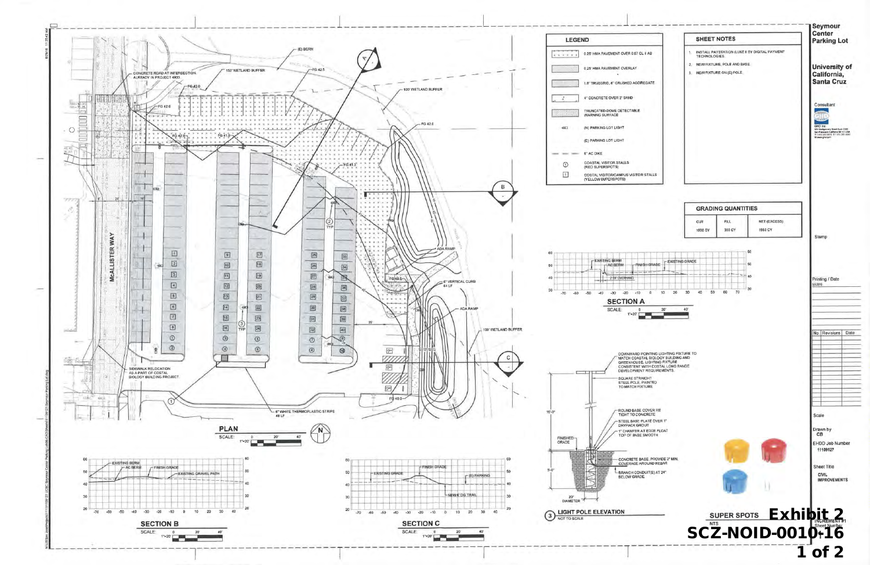<span id="page-12-0"></span>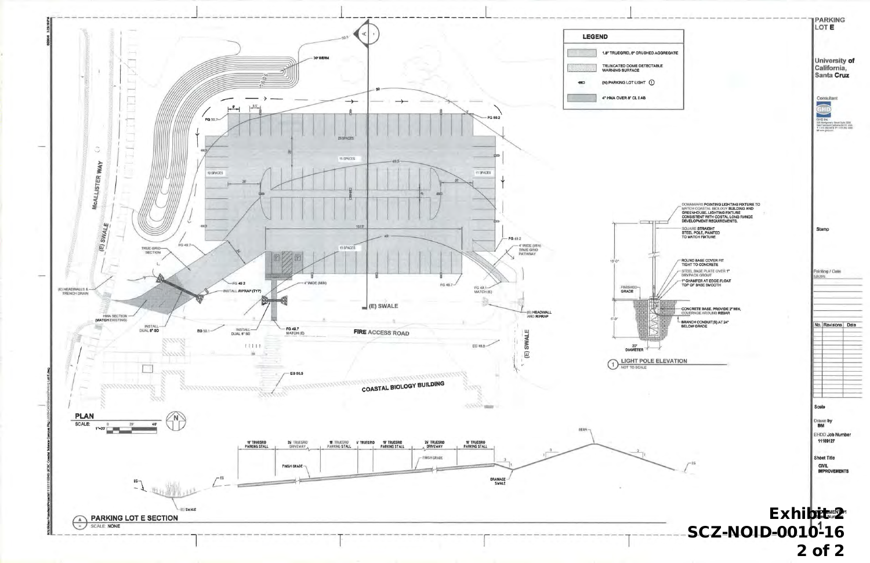

| <b>RUSHED AGGREGATE</b><br><b>DETECTABLE</b>                                                                                                                                                                                                |                                                                                                                            |
|---------------------------------------------------------------------------------------------------------------------------------------------------------------------------------------------------------------------------------------------|----------------------------------------------------------------------------------------------------------------------------|
| 3HT (1)                                                                                                                                                                                                                                     | University of<br>California,<br>Santa Cruz                                                                                 |
|                                                                                                                                                                                                                                             | Consultant<br>13<br>GHD Inc.<br>326 Ministervery Reward Build 2008<br>THE FRANCISCO CURRICULAR BEETICLES.<br>W www.gnd.com |
| DOWNWARD POINTING LIGHTING FIXTURE TO<br>MATCH COASTAL BIOLOGY BUILDING AND<br>GREENHOUSE. LIGHTING FIXTURE<br>CONSISTENT WITH COSTAL LONG RANGE<br>DEVELOPMENT REQUIREMENTS.<br>SQUARE STRAIGHT<br>STEEL POLE, PAINTED<br>TO MATCH FIXTURE | Stamp                                                                                                                      |
| ROUND BASE COVER FIT<br>TIGHT TO CONCRETE<br>STEEL BASE PLATE OVER 1"<br>DRYPACK GROUT<br>1" CHAMFER AT EDGE FLOAT<br>TOP OF BASE SMOOTH                                                                                                    | Printing / Date<br>5,09,2015                                                                                               |
| CONCRETE BASE, PROVIDE 2" MIN,<br>COVERAGE AROUND REBAR<br><b>BRANCH CONDUIT(S) AT 24"</b><br><b>BELOW GRADE</b>                                                                                                                            | No. Revisions<br>Date                                                                                                      |
| POLE ELEVATION                                                                                                                                                                                                                              |                                                                                                                            |
|                                                                                                                                                                                                                                             | Scale<br>Drawn by<br>BM<br>EHDD Job Number<br>11109127                                                                     |
| £G                                                                                                                                                                                                                                          | Sheet Title<br><b>CIVIL</b><br><b>IMPROVEMENTS</b>                                                                         |
| <b>SCZ-NOID-0010-16</b>                                                                                                                                                                                                                     | Exhibitemen2                                                                                                               |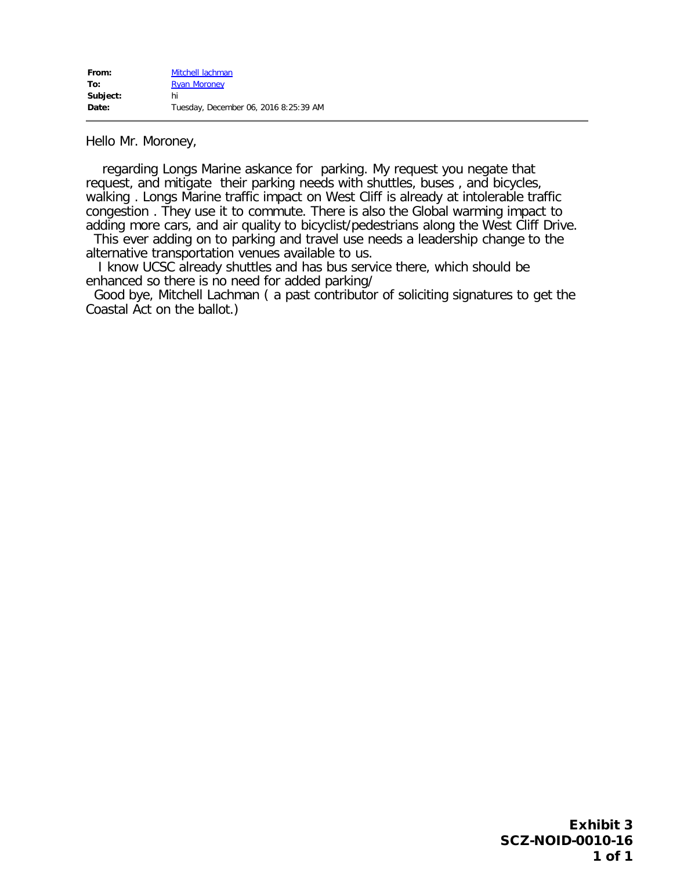<span id="page-14-0"></span>Hello Mr. Moroney,

 regarding Longs Marine askance for parking. My request you negate that request, and mitigate their parking needs with shuttles, buses , and bicycles, walking . Longs Marine traffic impact on West Cliff is already at intolerable traffic congestion . They use it to commute. There is also the Global warming impact to adding more cars, and air quality to bicyclist/pedestrians along the West Cliff Drive. This ever adding on to parking and travel use needs a leadership change to the

alternative transportation venues available to us.

I know UCSC already shuttles and has bus service there, which should be enhanced so there is no need for added parking/

 Good bye, Mitchell Lachman ( a past contributor of soliciting signatures to get the Coastal Act on the ballot.)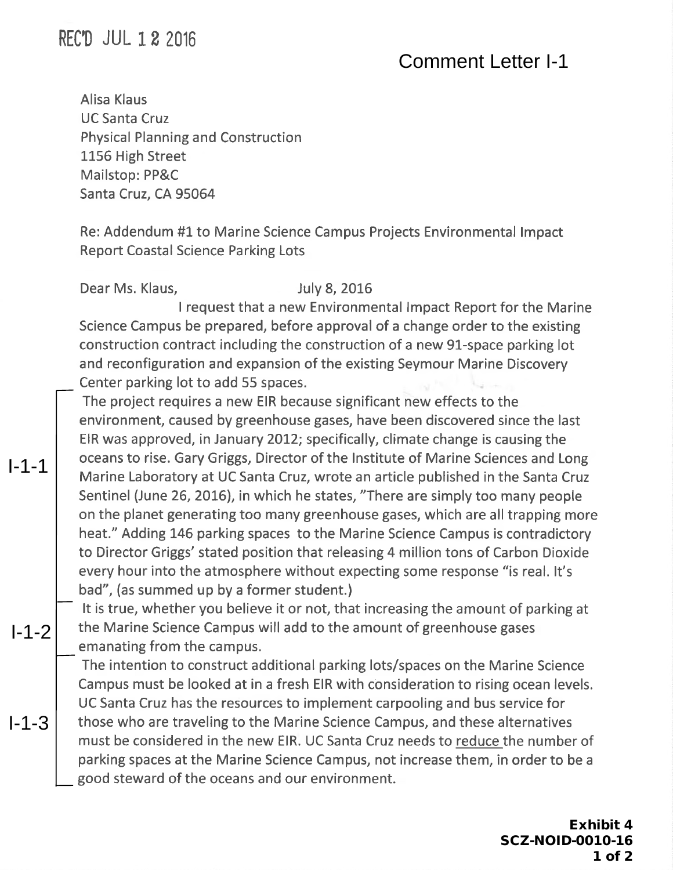# <span id="page-15-0"></span>**REC'D JUL 1 2 2016**

# Comment Letter I-1

Alisa Klaus **UC Santa Cruz Physical Planning and Construction** 1156 High Street Mailstop: PP&C Santa Cruz, CA 95064

Re: Addendum #1 to Marine Science Campus Projects Environmental Impact **Report Coastal Science Parking Lots** 

Dear Ms. Klaus.

 $1 - 1 - 1$ 

 $1 - 1 - 2$ 

 $1 - 1 - 3$ 

#### **July 8, 2016**

I request that a new Environmental Impact Report for the Marine Science Campus be prepared, before approval of a change order to the existing construction contract including the construction of a new 91-space parking lot and reconfiguration and expansion of the existing Seymour Marine Discovery Center parking lot to add 55 spaces.

The project requires a new EIR because significant new effects to the environment, caused by greenhouse gases, have been discovered since the last EIR was approved, in January 2012; specifically, climate change is causing the oceans to rise. Gary Griggs, Director of the Institute of Marine Sciences and Long Marine Laboratory at UC Santa Cruz, wrote an article published in the Santa Cruz Sentinel (June 26, 2016), in which he states, "There are simply too many people on the planet generating too many greenhouse gases, which are all trapping more heat." Adding 146 parking spaces to the Marine Science Campus is contradictory to Director Griggs' stated position that releasing 4 million tons of Carbon Dioxide every hour into the atmosphere without expecting some response "is real. It's bad", (as summed up by a former student.)

It is true, whether you believe it or not, that increasing the amount of parking at the Marine Science Campus will add to the amount of greenhouse gases emanating from the campus.

The intention to construct additional parking lots/spaces on the Marine Science Campus must be looked at in a fresh EIR with consideration to rising ocean levels. UC Santa Cruz has the resources to implement carpooling and bus service for those who are traveling to the Marine Science Campus, and these alternatives must be considered in the new EIR. UC Santa Cruz needs to reduce the number of parking spaces at the Marine Science Campus, not increase them, in order to be a good steward of the oceans and our environment.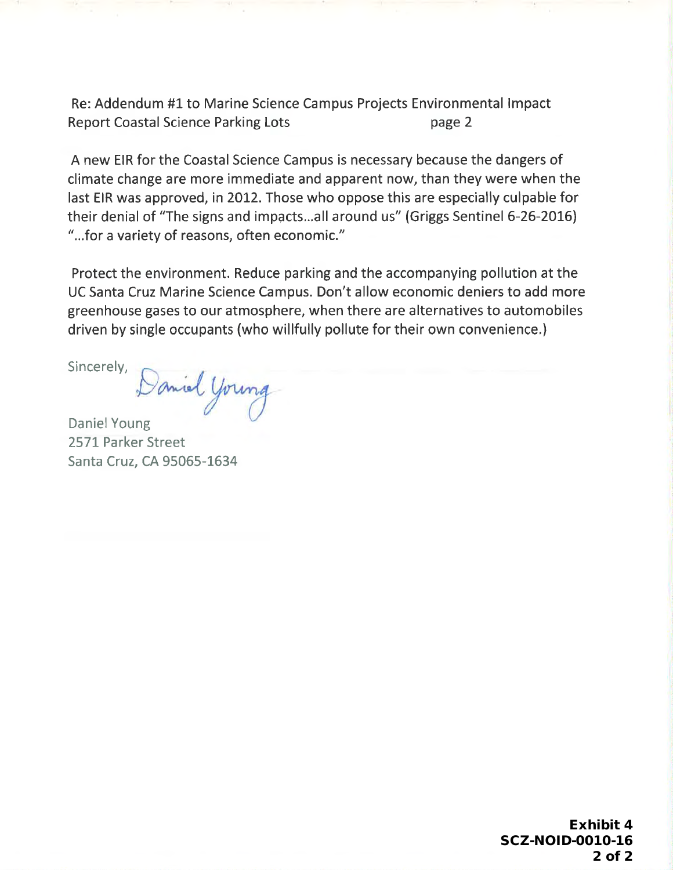Re: Addendum #1 to Marine Science Campus Projects Environmental Impact **Report Coastal Science Parking Lots** page 2

A new EIR for the Coastal Science Campus is necessary because the dangers of climate change are more immediate and apparent now, than they were when the last EIR was approved, in 2012. Those who oppose this are especially culpable for their denial of "The signs and impacts...all around us" (Griggs Sentinel 6-26-2016) "...for a variety of reasons, often economic."

Protect the environment. Reduce parking and the accompanying pollution at the UC Santa Cruz Marine Science Campus. Don't allow economic deniers to add more greenhouse gases to our atmosphere, when there are alternatives to automobiles driven by single occupants (who willfully pollute for their own convenience.)

Sincerely,

Daniel Young **Daniel Young** 2571 Parker Street Santa Cruz, CA 95065-1634

> **Exhibit 4 SCZ-NOID-0010-16**  $2$  of  $2$